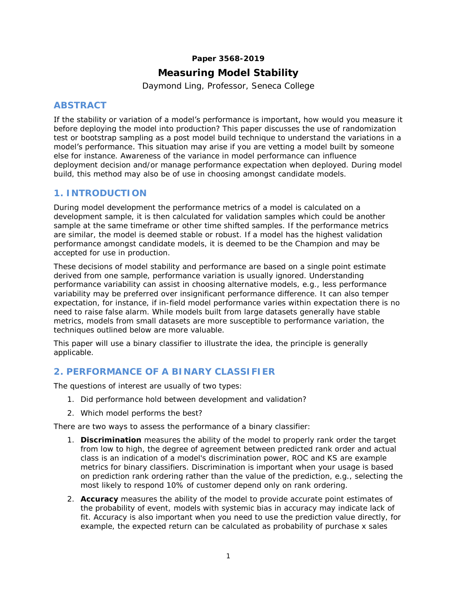#### **Paper 3568-2019**

# **Measuring Model Stability**

Daymond Ling, Professor, Seneca College

# **ABSTRACT**

If the stability or variation of a model's performance is important, how would you measure it before deploying the model into production? This paper discusses the use of randomization test or bootstrap sampling as a post model build technique to understand the variations in a model's performance. This situation may arise if you are vetting a model built by someone else for instance. Awareness of the variance in model performance can influence deployment decision and/or manage performance expectation when deployed. During model build, this method may also be of use in choosing amongst candidate models.

# **1. INTRODUCTION**

During model development the performance metrics of a model is calculated on a development sample, it is then calculated for validation samples which could be another sample at the same timeframe or other time shifted samples. If the performance metrics are similar, the model is deemed stable or robust. If a model has the highest validation performance amongst candidate models, it is deemed to be the Champion and may be accepted for use in production.

These decisions of model stability and performance are based on a single point estimate derived from one sample, performance variation is usually ignored. Understanding performance variability can assist in choosing alternative models, e.g., less performance variability may be preferred over insignificant performance difference. It can also temper expectation, for instance, if in-field model performance varies within expectation there is no need to raise false alarm. While models built from large datasets generally have stable metrics, models from small datasets are more susceptible to performance variation, the techniques outlined below are more valuable.

This paper will use a binary classifier to illustrate the idea, the principle is generally applicable.

# **2. PERFORMANCE OF A BINARY CLASSIFIER**

The questions of interest are usually of two types:

- 1. Did performance hold between development and validation?
- 2. Which model performs the best?

There are two ways to assess the performance of a binary classifier:

- 1. **Discrimination** measures the ability of the model to properly rank order the target from low to high, the degree of agreement between predicted rank order and actual class is an indication of a model's discrimination power, ROC and KS are example metrics for binary classifiers. Discrimination is important when your usage is based on prediction rank ordering rather than the value of the prediction, e.g., selecting the most likely to respond 10% of customer depend only on rank ordering.
- 2. **Accuracy** measures the ability of the model to provide accurate point estimates of the probability of event, models with systemic bias in accuracy may indicate lack of fit. Accuracy is also important when you need to use the prediction value directly, for example, the expected return can be calculated as probability of purchase x sales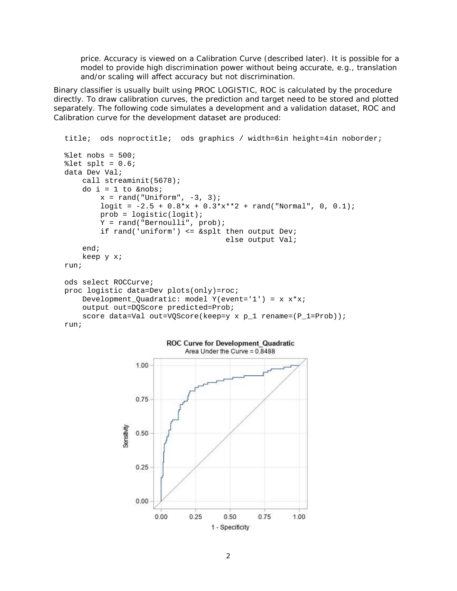price. Accuracy is viewed on a Calibration Curve (described later). It is possible for a model to provide high discrimination power without being accurate, e.g., translation and/or scaling will affect accuracy but not discrimination.

Binary classifier is usually built using PROC LOGISTIC, ROC is calculated by the procedure directly. To draw calibration curves, the prediction and target need to be stored and plotted separately. The following code simulates a development and a validation dataset, ROC and Calibration curve for the development dataset are produced:

```
title; ods noproctitle; ods graphics / width=6in height=4in noborder;
% let nobs = 500;let splt = 0.6;
data Dev Val;
     call streaminit(5678);
     do i = 1 to &nobs;
        x = rand("Uniform", -3, 3);logit = -2.5 + 0.8*x + 0.3*x**2 + rand("Normal", 0, 0.1); prob = logistic(logit);
         Y = rand("Bernoulli", prob);
         if rand('uniform') <= &splt then output Dev;
                                      else output Val;
     end;
     keep y x;
run;
ods select ROCCurve;
proc logistic data=Dev plots(only)=roc; 
    Development_Quadratic: model Y(event='1') = x x^*x;
     output out=DQScore predicted=Prob;
    score data=Val out=VQScore(keep=y x p_1 rename=(P_1=Prob));
run;
```
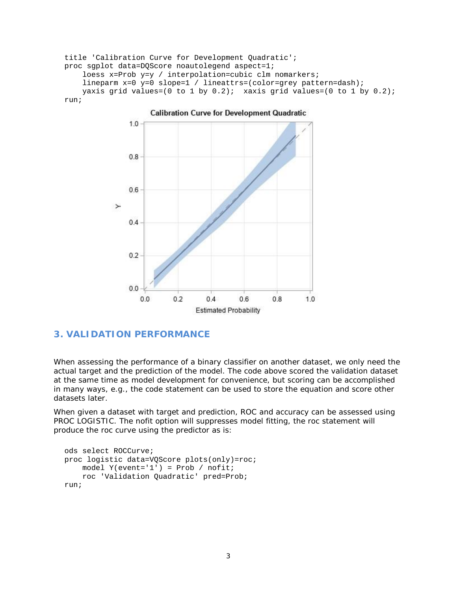title 'Calibration Curve for Development Quadratic'; proc sgplot data=DQScore noautolegend aspect=1; loess x=Prob y=y / interpolation=cubic clm nomarkers; lineparm x=0 y=0 slope=1 / lineattrs=(color=grey pattern=dash); yaxis grid values= $(0 \text{ to } 1 \text{ by } 0.2)$ ; xaxis grid values= $(0 \text{ to } 1 \text{ by } 0.2)$ ; run;



**Calibration Curve for Development Quadratic** 

# **3. VALIDATION PERFORMANCE**

When assessing the performance of a binary classifier on another dataset, we only need the actual target and the prediction of the model. The code above scored the validation dataset at the same time as model development for convenience, but scoring can be accomplished in many ways, e.g., the code statement can be used to store the equation and score other datasets later.

When given a dataset with target and prediction, ROC and accuracy can be assessed using PROC LOGISTIC. The nofit option will suppresses model fitting, the roc statement will produce the roc curve using the predictor as is:

```
ods select ROCCurve;
proc logistic data=VQScore plots(only)=roc;
     model Y(event='1') = Prob / nofit;
     roc 'Validation Quadratic' pred=Prob;
run;
```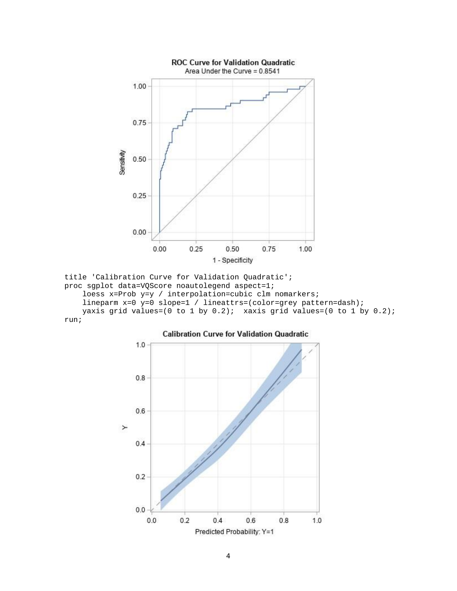

title 'Calibration Curve for Validation Quadratic'; proc sgplot data=VQScore noautolegend aspect=1; loess x=Prob y=y / interpolation=cubic clm nomarkers; lineparm x=0 y=0 slope=1 / lineattrs=(color=grey pattern=dash); yaxis grid values=(0 to 1 by  $0.2$ ); xaxis grid values=(0 to 1 by  $0.2$ ); run;

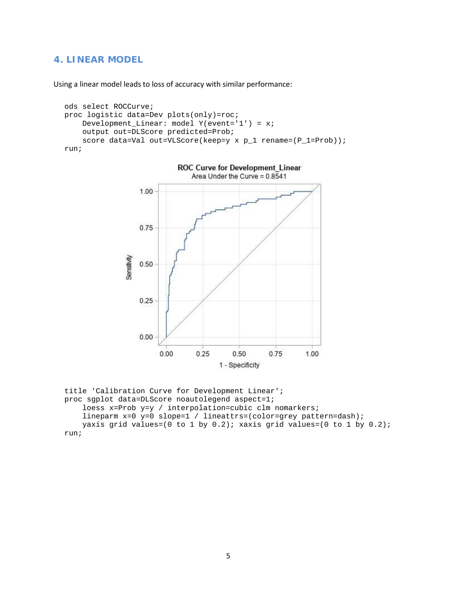### **4. LINEAR MODEL**

Using a linear model leads to loss of accuracy with similar performance:

```
ods select ROCCurve;
proc logistic data=Dev plots(only)=roc;
     Development_Linear: model Y(event='1') = x;
     output out=DLScore predicted=Prob;
    score data=Val out=VLScore(keep=y x p_1 rename=(P_1=Prob));
run;
```


title 'Calibration Curve for Development Linear'; proc sgplot data=DLScore noautolegend aspect=1; loess x=Prob y=y / interpolation=cubic clm nomarkers; lineparm x=0 y=0 slope=1 / lineattrs=(color=grey pattern=dash); yaxis grid values= $(0 \text{ to } 1 \text{ by } 0.2)$ ; xaxis grid values= $(0 \text{ to } 1 \text{ by } 0.2)$ ; run;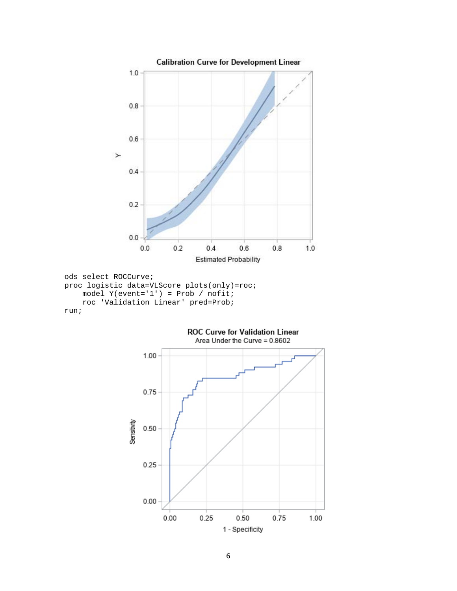

```
run;
```
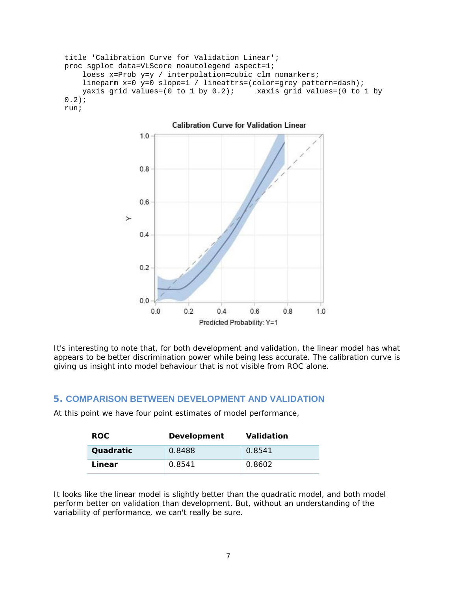```
title 'Calibration Curve for Validation Linear';
proc sgplot data=VLScore noautolegend aspect=1;
     loess x=Prob y=y / interpolation=cubic clm nomarkers; 
     lineparm x=0 y=0 slope=1 / lineattrs=(color=grey pattern=dash);
    yaxis grid values=(0 \text{ to } 1 \text{ by } 0.2); xaxis grid values=(0 \text{ to } 1 \text{ by } 0.2)0.2);
run;
```


It's interesting to note that, for both development and validation, the linear model has what appears to be better discrimination power while being less accurate. The calibration curve is giving us insight into model behaviour that is not visible from ROC alone.

### **5. COMPARISON BETWEEN DEVELOPMENT AND VALIDATION**

At this point we have four point estimates of model performance,

| ROC.      | Development | Validation |
|-----------|-------------|------------|
| Quadratic | 0.8488      | 0.8541     |
| Linear    | 0.8541      | 0.8602     |

It looks like the linear model is slightly better than the quadratic model, and both model perform better on validation than development. But, without an understanding of the variability of performance, we can't really be sure.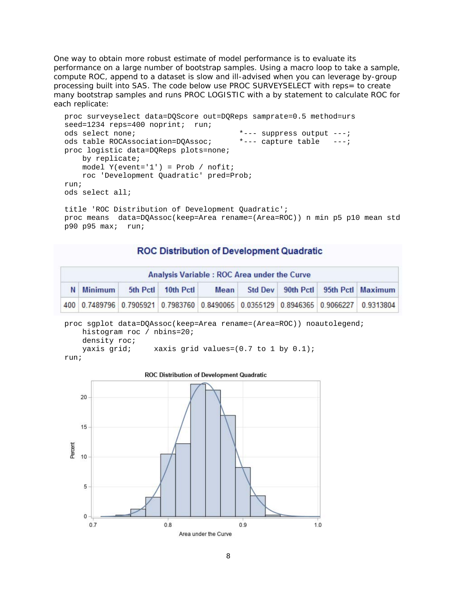One way to obtain more robust estimate of model performance is to evaluate its performance on a large number of bootstrap samples. Using a macro loop to take a sample, compute ROC, append to a dataset is slow and ill-advised when you can leverage by-group processing built into SAS. The code below use PROC SURVEYSELECT with reps= to create many bootstrap samples and runs PROC LOGISTIC with a by statement to calculate ROC for each replicate:

```
proc surveyselect data=DQScore out=DQReps samprate=0.5 method=urs
seed=1234 reps=400 noprint; run;
ods select none; *--- suppress output ---;
ods table ROCAssociation=DQAssoc; *--- capture table ---;
proc logistic data=DQReps plots=none;
    by replicate;
   model Y(event='1') = Prob / nofit; roc 'Development Quadratic' pred=Prob;
run;
ods select all;
```

```
title 'ROC Distribution of Development Quadratic';
proc means data=DQAssoc(keep=Area rename=(Area=ROC)) n min p5 p10 mean std 
p90 p95 max; run;
```
### **ROC Distribution of Development Quadratic**

| Analysis Variable : ROC Area under the Curve |           |  |                    |             |  |  |  |                                                                                     |
|----------------------------------------------|-----------|--|--------------------|-------------|--|--|--|-------------------------------------------------------------------------------------|
|                                              | N Minimum |  | 5th Pctl 10th Pctl | <b>Mean</b> |  |  |  | Std Dev 90th Pctl 95th Pctl Maximum                                                 |
|                                              |           |  |                    |             |  |  |  | 400 0.7489796 0.7905921 0.7983760 0.8490065 0.0355129 0.8946365 0.9066227 0.9313804 |

proc sgplot data=DQAssoc(keep=Area rename=(Area=ROC)) noautolegend; histogram roc / nbins=20; density roc; yaxis grid; xaxis grid values=(0.7 to 1 by 0.1); run;

**ROC Distribution of Development Quadratic** 20 15 Percent  $10$ 5  $\ddot{\mathbf{0}}$  $0.7$  $0.8$  $0.9$  $1.0$ Area under the Curve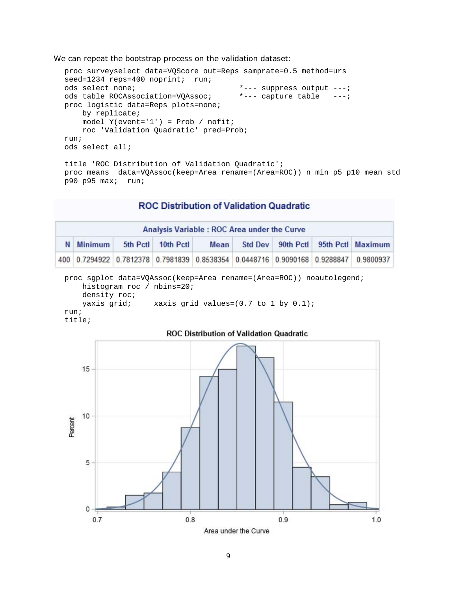We can repeat the bootstrap process on the validation dataset:

```
proc surveyselect data=VQScore out=Reps samprate=0.5 method=urs
seed=1234 reps=400 noprint; run;
ods select none; *--- suppress output ---;
ods table ROCAssociation=VQAssoc; *--- capture table ---;
proc logistic data=Reps plots=none;
    by replicate;
    model Y(event='1') = Prob / nofit;
    roc 'Validation Quadratic' pred=Prob;
run;
ods select all;
title 'ROC Distribution of Validation Quadratic';
proc means data=VQAssoc(keep=Area rename=(Area=ROC)) n min p5 p10 mean std 
p90 p95 max; run;
```
### **ROC Distribution of Validation Quadratic**

| Analysis Variable : ROC Area under the Curve |                |  |                                                                                     |      |  |  |  |                                     |
|----------------------------------------------|----------------|--|-------------------------------------------------------------------------------------|------|--|--|--|-------------------------------------|
| N                                            | <b>Minimum</b> |  | 5th Pctl 10th Pctl                                                                  | Mean |  |  |  | Std Dev 90th Pctl 95th Pctl Maximum |
|                                              |                |  | 400 0.7294922 0.7812378 0.7981839 0.8538354 0.0448716 0.9090168 0.9288847 0.9800937 |      |  |  |  |                                     |

```
proc sgplot data=VQAssoc(keep=Area rename=(Area=ROC)) noautolegend;
     histogram roc / nbins=20;
     density roc;
   yaxis grid; xaxis grid values=(0.7 to 1 by 0.1);
run;
```

```
title;
```
#### **ROC Distribution of Validation Quadratic**

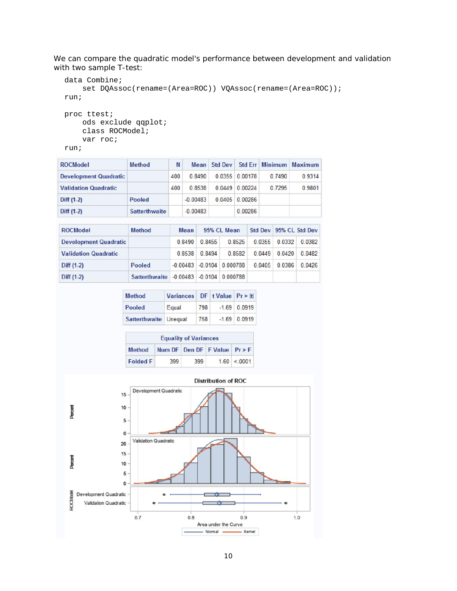We can compare the quadratic model's performance between development and validation with two sample T-test:

```
data Combine;
     set DQAssoc(rename=(Area=ROC)) VQAssoc(rename=(Area=ROC));
run;
proc ttest;
```

```
 ods exclude qqplot;
 class ROCModel;
 var roc;
```
run;

| <b>ROCModel</b>              | <b>Method</b> | N   |            | Mean Std Dev |                |        | Std Err Minimum Maximum |
|------------------------------|---------------|-----|------------|--------------|----------------|--------|-------------------------|
| <b>Development Quadratic</b> |               | 400 | 0.8490     |              | 0.0355 0.00178 | 0.7490 | 0.9314                  |
| <b>Validation Quadratic</b>  |               | 400 | 0.8538     |              | 0.0449 0.00224 | 0.7295 | 0.9801                  |
| $Diff (1-2)$                 | Pooled        |     | $-0.00483$ |              | 0.0405 0.00286 |        |                         |
| Diff $(1-2)$                 | Satterthwaite |     | $-0.00483$ |              | 0.00286        |        |                         |

| <b>ROCModel</b>              | <b>Method</b>        | <b>Mean</b> | 95% CL Mean |                               |        | Std Dev 95% CL Std Dev |        |
|------------------------------|----------------------|-------------|-------------|-------------------------------|--------|------------------------|--------|
| <b>Development Quadratic</b> |                      | 0.8490      | 0.8455      | 0.8525                        | 0.0355 | 0.0332                 | 0.0382 |
| <b>Validation Quadratic</b>  |                      | 0.8538      | 0 8494      | 0.8582                        | 0.0449 | 0.0420                 | 0.0482 |
| Diff $(1-2)$                 | Pooled               | $-0.00483$  |             | $-0.0104$ 0.000788            | 0.0405 | 0.0386                 | 0.0426 |
| $Diff (1-2)$                 | <b>Satterthwaite</b> |             |             | $-0.00483$ $-0.0104$ 0.000788 |        |                        |        |

| <b>Method</b>         | Variances DF t Value Pr > It |     |                |
|-----------------------|------------------------------|-----|----------------|
| Pooled                | Equal                        | 798 | $-1.69$ 0.0919 |
| Satterthwaite Unequal |                              | 758 | $-1.69$ 0.0919 |

| <b>Equality of Variances</b> |     |     |                                |             |  |  |
|------------------------------|-----|-----|--------------------------------|-------------|--|--|
| <b>Method</b>                |     |     | Num DF Den DF F Value $Pr > F$ |             |  |  |
| <b>Folded F</b>              | 399 | 399 |                                | 1.60 < 0001 |  |  |

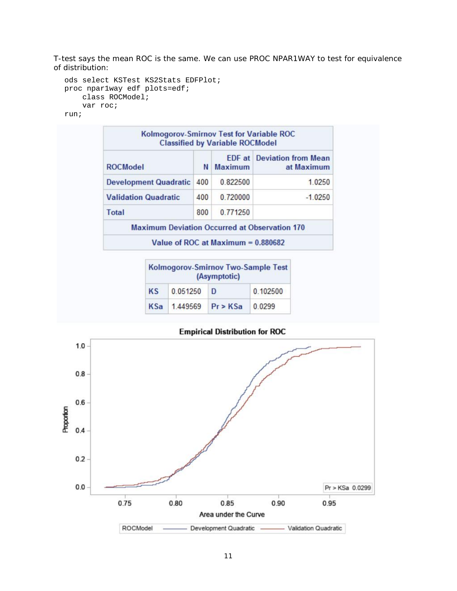T-test says the mean ROC is the same. We can use PROC NPAR1WAY to test for equivalence of distribution:

```
ods select KSTest KS2Stats EDFPlot;
proc npar1way edf plots=edf;
     class ROCModel;
     var roc;
run;
```
Kolmogorov-Smirnov Test for Variable ROC **Classified by Variable ROCModel EDF** at Deviation from Mean **ROCModel** N **Maximum** at Maximum 0.822500 1.0250 **Development Quadratic 400 Validation Quadratic** 400 0.720000  $-1.0250$ Total 800 0.771250 **Maximum Deviation Occurred at Observation 170** Value of ROC at Maximum = 0.880682

| Kolmogorov-Smirnov Two-Sample Test<br>(Asymptotic) |          |          |          |  |  |  |
|----------------------------------------------------|----------|----------|----------|--|--|--|
| <b>KS</b>                                          | 0.051250 | D        | 0.102500 |  |  |  |
| <b>KSa</b>                                         | 1.449569 | Pr > KSa | 0.0299   |  |  |  |

**Empirical Distribution for ROC** 

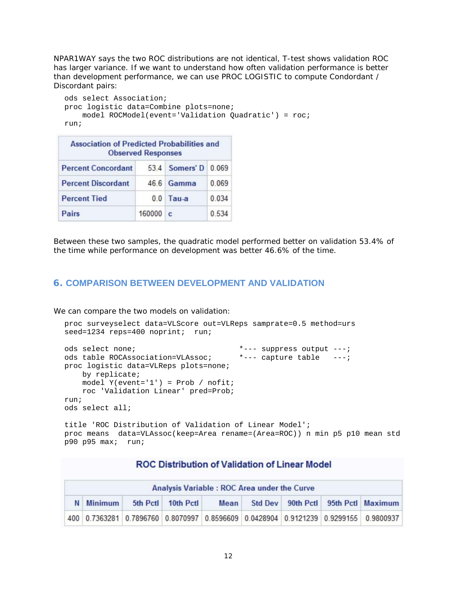NPAR1WAY says the two ROC distributions are not identical, T-test shows validation ROC has larger variance. If we want to understand how often validation performance is better than development performance, we can use PROC LOGISTIC to compute Condordant / Discordant pairs:

```
ods select Association;
proc logistic data=Combine plots=none;
     model ROCModel(event='Validation Quadratic') = roc;
run;
```

| <b>Association of Predicted Probabilities and</b> | <b>Observed Responses</b> |                |       |
|---------------------------------------------------|---------------------------|----------------|-------|
| <b>Percent Concordant</b>                         |                           | 53.4 Somers' D | 0.069 |
| <b>Percent Discordant</b>                         |                           | 46.6 Gamma     | 0.069 |
| <b>Percent Tied</b>                               | 0.0                       | Tau-a          | 0.034 |
| Pairs                                             | 160000                    | $\mathbf{C}$   | 0.534 |

Between these two samples, the quadratic model performed better on validation 53.4% of the time while performance on development was better 46.6% of the time.

### **6. COMPARISON BETWEEN DEVELOPMENT AND VALIDATION**

We can compare the two models on validation:

```
proc surveyselect data=VLScore out=VLReps samprate=0.5 method=urs
seed=1234 reps=400 noprint; run;
ods select none; *--- suppress output ---;
ods table ROCAssociation=VLAssoc; *--- capture table ---;
proc logistic data=VLReps plots=none;
    by replicate;
   model Y(event='1') = Prob / nofit; roc 'Validation Linear' pred=Prob;
run;
ods select all;
```

```
title 'ROC Distribution of Validation of Linear Model';
proc means data=VLAssoc(keep=Area rename=(Area=ROC)) n min p5 p10 mean std 
p90 p95 max; run;
```
### **ROC Distribution of Validation of Linear Model**

|                                                                                   | Analysis Variable : ROC Area under the Curve |  |  |  |  |  |  |                                                                                     |  |
|-----------------------------------------------------------------------------------|----------------------------------------------|--|--|--|--|--|--|-------------------------------------------------------------------------------------|--|
| Std Dev 90th Pctl 95th Pctl Maximum<br>5th Pctl<br>10th Pctl<br>N Minimum<br>Mean |                                              |  |  |  |  |  |  |                                                                                     |  |
|                                                                                   |                                              |  |  |  |  |  |  | 400 0.7363281 0.7896760 0.8070997 0.8596609 0.0428904 0.9121239 0.9299155 0.9800937 |  |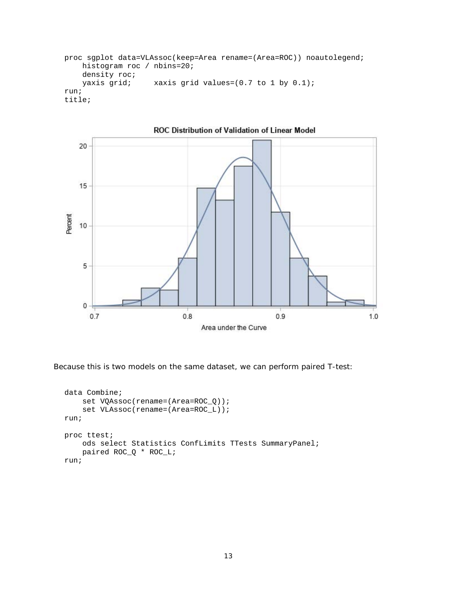```
proc sgplot data=VLAssoc(keep=Area rename=(Area=ROC)) noautolegend;
     histogram roc / nbins=20;
    density roc;
   yaxis grid; xaxis grid values=(0.7 to 1 by 0.1);
run;
title;
```


Because this is two models on the same dataset, we can perform paired T-test:

```
data Combine;
    set VQAssoc(rename=(Area=ROC_Q));
     set VLAssoc(rename=(Area=ROC_L));
run;
proc ttest;
     ods select Statistics ConfLimits TTests SummaryPanel;
     paired ROC_Q * ROC_L;
run;
```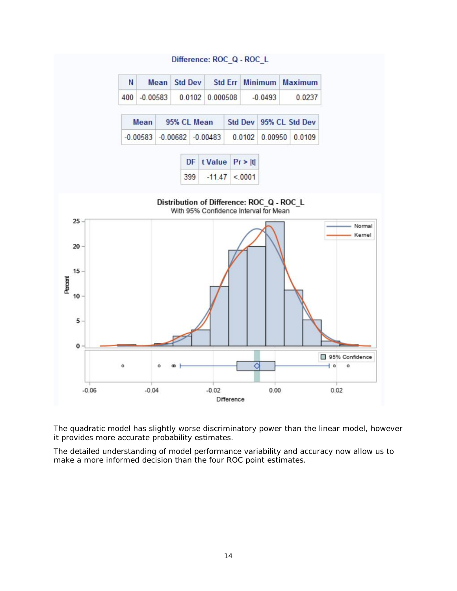

The quadratic model has slightly worse discriminatory power than the linear model, however it provides more accurate probability estimates.

The detailed understanding of model performance variability and accuracy now allow us to make a more informed decision than the four ROC point estimates.